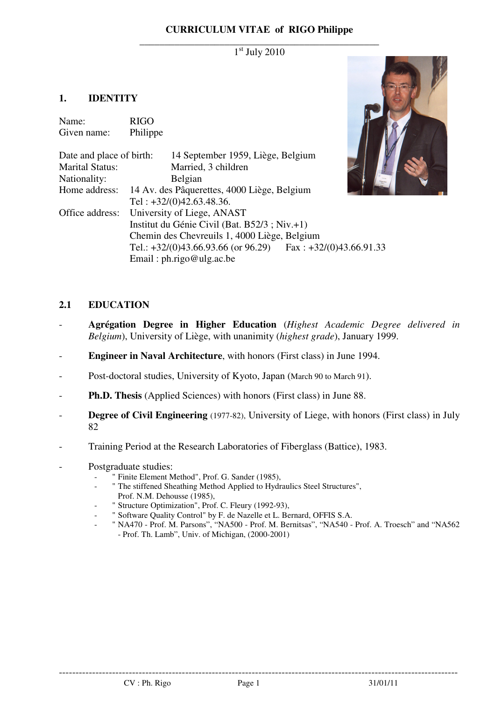## **CURRICULUM VITAE of RIGO Philippe**

### \_\_\_\_\_\_\_\_\_\_\_\_\_\_\_\_\_\_\_\_\_\_\_\_\_\_\_\_\_\_\_\_\_\_\_\_\_\_\_\_\_\_\_\_\_\_\_\_ 1 st July 2010

## **1. IDENTITY**

| Name:<br>Given name:                               | <b>RIGO</b><br>Philippe                      |                                                                 |  |
|----------------------------------------------------|----------------------------------------------|-----------------------------------------------------------------|--|
| Date and place of birth:<br><b>Marital Status:</b> |                                              | 14 September 1959, Liège, Belgium<br>Married, 3 children        |  |
| Nationality:                                       |                                              | Belgian                                                         |  |
| Home address:                                      | 14 Av. des Pâquerettes, 4000 Liège, Belgium  |                                                                 |  |
|                                                    |                                              | Tel: $+32/(0)42.63.48.36$ .                                     |  |
| Office address:                                    | University of Liege, ANAST                   |                                                                 |  |
|                                                    | Institut du Génie Civil (Bat. B52/3; Niv.+1) |                                                                 |  |
|                                                    | Chemin des Chevreuils 1, 4000 Liège, Belgium |                                                                 |  |
|                                                    |                                              | Tel.: $+32/(0)43.66.93.66$ (or 96.29) Fax: $+32/(0)43.66.91.33$ |  |
|                                                    |                                              | Email: $ph.rigo@ulg.ac.be$                                      |  |



## **2.1 EDUCATION**

- **Agrégation Degree in Higher Education** (*Highest Academic Degree delivered in Belgium*), University of Liège, with unanimity (*highest grade*), January 1999.
- **Engineer in Naval Architecture**, with honors (First class) in June 1994.
- Post-doctoral studies, University of Kyoto, Japan (March 90 to March 91).
- **Ph.D. Thesis** (Applied Sciences) with honors (First class) in June 88.
- **Degree of Civil Engineering** (1977-82), University of Liege, with honors (First class) in July 82
- Training Period at the Research Laboratories of Fiberglass (Battice), 1983.
- Postgraduate studies:
	- " Finite Element Method", Prof. G. Sander (1985),
	- " The stiffened Sheathing Method Applied to Hydraulics Steel Structures",
	- Prof. N.M. Dehousse (1985),
	- " Structure Optimization", Prof. C. Fleury (1992-93),
	- " Software Quality Control" by F. de Nazelle et L. Bernard, OFFIS S.A.
	- " NA470 Prof. M. Parsons", "NA500 Prof. M. Bernitsas", "NA540 Prof. A. Troesch" and "NA562 - Prof. Th. Lamb", Univ. of Michigan, (2000-2001)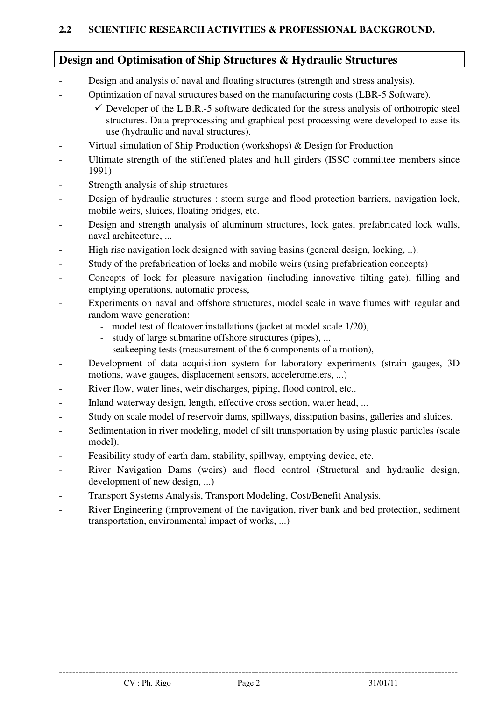# **2.2 SCIENTIFIC RESEARCH ACTIVITIES & PROFESSIONAL BACKGROUND.**

# **Design and Optimisation of Ship Structures & Hydraulic Structures**

- Design and analysis of naval and floating structures (strength and stress analysis).
- Optimization of naval structures based on the manufacturing costs (LBR-5 Software).
	- $\checkmark$  Developer of the L.B.R.-5 software dedicated for the stress analysis of orthotropic steel structures. Data preprocessing and graphical post processing were developed to ease its use (hydraulic and naval structures).
- Virtual simulation of Ship Production (workshops) & Design for Production
- Ultimate strength of the stiffened plates and hull girders (ISSC committee members since 1991)
- Strength analysis of ship structures
- Design of hydraulic structures : storm surge and flood protection barriers, navigation lock, mobile weirs, sluices, floating bridges, etc.
- Design and strength analysis of aluminum structures, lock gates, prefabricated lock walls, naval architecture, ...
- High rise navigation lock designed with saving basins (general design, locking, ..).
- Study of the prefabrication of locks and mobile weirs (using prefabrication concepts)
- Concepts of lock for pleasure navigation (including innovative tilting gate), filling and emptying operations, automatic process,
- Experiments on naval and offshore structures, model scale in wave flumes with regular and random wave generation:
	- model test of floatover installations (jacket at model scale 1/20),
	- study of large submarine offshore structures (pipes), ...
	- seakeeping tests (measurement of the 6 components of a motion),
- Development of data acquisition system for laboratory experiments (strain gauges, 3D) motions, wave gauges, displacement sensors, accelerometers, ...)
- River flow, water lines, weir discharges, piping, flood control, etc..
- Inland waterway design, length, effective cross section, water head, ...
- Study on scale model of reservoir dams, spillways, dissipation basins, galleries and sluices.
- Sedimentation in river modeling, model of silt transportation by using plastic particles (scale model).
- Feasibility study of earth dam, stability, spillway, emptying device, etc.
- River Navigation Dams (weirs) and flood control (Structural and hydraulic design, development of new design, ...)
- Transport Systems Analysis, Transport Modeling, Cost/Benefit Analysis.
- River Engineering (improvement of the navigation, river bank and bed protection, sediment transportation, environmental impact of works, ...)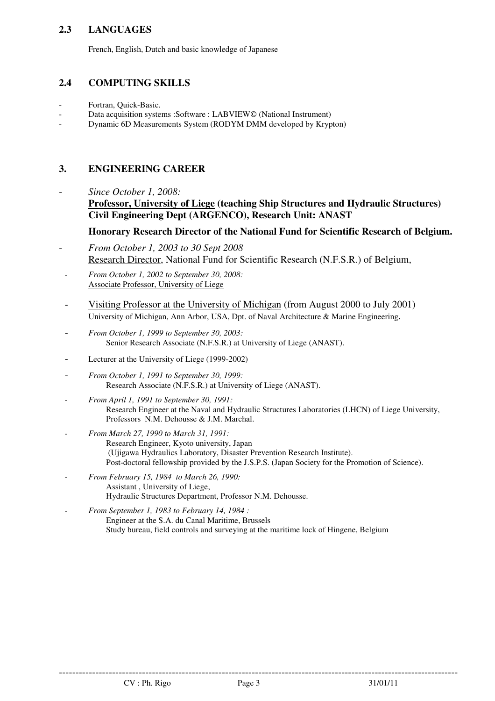# **2.3 LANGUAGES**

French, English, Dutch and basic knowledge of Japanese

## **2.4 COMPUTING SKILLS**

- Fortran, Quick-Basic.
- Data acquisition systems :Software : LABVIEW© (National Instrument)
- Dynamic 6D Measurements System (RODYM DMM developed by Krypton)

# **3. ENGINEERING CAREER**

- *Since October 1, 2008:* 
	- **Professor, University of Liege (teaching Ship Structures and Hydraulic Structures) Civil Engineering Dept (ARGENCO), Research Unit: ANAST**

## **Honorary Research Director of the National Fund for Scientific Research of Belgium.**

- *From October 1, 2003 to 30 Sept 2008*  Research Director, National Fund for Scientific Research (N.F.S.R.) of Belgium,
- *From October 1, 2002 to September 30, 2008:* Associate Professor, University of Liege
- Visiting Professor at the University of Michigan (from August 2000 to July 2001) University of Michigan, Ann Arbor, USA, Dpt. of Naval Architecture & Marine Engineering.
- *From October 1, 1999 to September 30, 2003:* Senior Research Associate (N.F.S.R.) at University of Liege (ANAST).
- Lecturer at the University of Liege (1999-2002)
- *From October 1, 1991 to September 30, 1999:* Research Associate (N.F.S.R.) at University of Liege (ANAST).
- *From April 1, 1991 to September 30, 1991:* Research Engineer at the Naval and Hydraulic Structures Laboratories (LHCN) of Liege University, Professors N.M. Dehousse & J.M. Marchal.
- *From March 27, 1990 to March 31, 1991:* Research Engineer, Kyoto university, Japan (Ujigawa Hydraulics Laboratory, Disaster Prevention Research Institute). Post-doctoral fellowship provided by the J.S.P.S. (Japan Society for the Promotion of Science).
- *From February 15, 1984 to March 26, 1990:* Assistant , University of Liege, Hydraulic Structures Department, Professor N.M. Dehousse.
- *From September 1, 1983 to February 14, 1984 :* Engineer at the S.A. du Canal Maritime, Brussels Study bureau, field controls and surveying at the maritime lock of Hingene, Belgium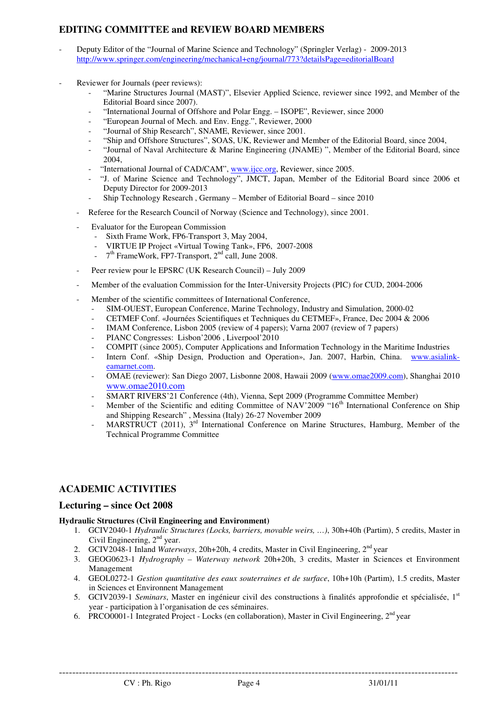# **EDITING COMMITTEE and REVIEW BOARD MEMBERS**

- Deputy Editor of the "Journal of Marine Science and Technology" (Springler Verlag) 2009-2013 http://www.springer.com/engineering/mechanical+eng/journal/773?detailsPage=editorialBoard
- Reviewer for Journals (peer reviews):
	- "Marine Structures Journal (MAST)", Elsevier Applied Science, reviewer since 1992, and Member of the Editorial Board since 2007).
	- "International Journal of Offshore and Polar Engg. ISOPE", Reviewer, since 2000
	- "European Journal of Mech. and Env. Engg.", Reviewer, 2000
	- "Journal of Ship Research", SNAME, Reviewer, since 2001.
	- "Ship and Offshore Structures", SOAS, UK, Reviewer and Member of the Editorial Board, since 2004,
	- "Journal of Naval Architecture & Marine Engineering (JNAME)", Member of the Editorial Board, since 2004,
	- "International Journal of CAD/CAM", www.ijcc.org, Reviewer, since 2005.
	- "J. of Marine Science and Technology", JMCT, Japan, Member of the Editorial Board since 2006 et Deputy Director for 2009-2013
	- Ship Technology Research , Germany Member of Editorial Board since 2010
	- Referee for the Research Council of Norway (Science and Technology), since 2001.
	- Evaluator for the European Commission
		- Sixth Frame Work, FP6-Transport 3, May 2004,
		- VIRTUE IP Project «Virtual Towing Tank», FP6, 2007-2008
		- $-7<sup>th</sup>$  FrameWork, FP7-Transport,  $2<sup>nd</sup>$  call, June 2008.
	- Peer review pour le EPSRC (UK Research Council) July 2009
	- Member of the evaluation Commission for the Inter-University Projects (PIC) for CUD, 2004-2006
	- Member of the scientific committees of International Conference,
		- SIM-OUEST, European Conference, Marine Technology, Industry and Simulation, 2000-02
		- CETMEF Conf. «Journées Scientifiques et Techniques du CETMEF», France, Dec 2004 & 2006
		- IMAM Conference, Lisbon 2005 (review of 4 papers); Varna 2007 (review of 7 papers)
		- PIANC Congresses: Lisbon'2006, Liverpool'2010
		- COMPIT (since 2005), Computer Applications and Information Technology in the Maritime Industries
		- Intern Conf. «Ship Design, Production and Operation», Jan. 2007, Harbin, China. www.asialinkeamarnet.com.
		- OMAE (reviewer): San Diego 2007, Lisbonne 2008, Hawaii 2009 (www.omae2009.com), Shanghai 2010 www.omae2010.com
		- SMART RIVERS'21 Conference (4th), Vienna, Sept 2009 (Programme Committee Member)
		- Member of the Scientific and editing Committee of NAV'2009 "16<sup>th</sup> International Conference on Ship and Shipping Research" , Messina (Italy) 26-27 November 2009
		- MARSTRUCT (2011), 3<sup>rd</sup> International Conference on Marine Structures, Hamburg, Member of the Technical Programme Committee

# **ACADEMIC ACTIVITIES**

### **Lecturing – since Oct 2008**

### **Hydraulic Structures (Civil Engineering and Environment)**

- 1. GCIV2040-1 *Hydraulic Structures (Locks, barriers, movable weirs, …)*, 30h+40h (Partim), 5 credits, Master in Civil Engineering,  $2<sup>nd</sup>$  year.
- 2. GCIV2048-1 Inland *Waterways*, 20h+20h, 4 credits, Master in Civil Engineering, 2<sup>nd</sup> year
- 3. GEOG0623-1 *Hydrography Waterway network* 20h+20h, 3 credits, Master in Sciences et Environment Management
- 4. GEOL0272-1 *Gestion quantitative des eaux souterraines et de surface*, 10h+10h (Partim), 1.5 credits, Master in Sciences et Environnent Management
- 5. GCIV2039-1 *Seminars*, Master en ingénieur civil des constructions à finalités approfondie et spécialisée, 1st year - participation à l'organisation de ces séminaires.
- 6. PRCO0001-1 Integrated Project Locks (en collaboration), Master in Civil Engineering,  $2<sup>nd</sup>$  year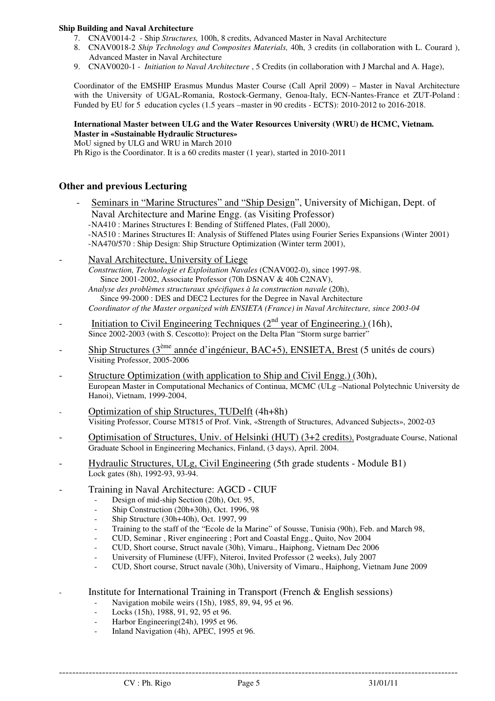#### **Ship Building and Naval Architecture**

- 7. CNAV0014-2 Ship *Structures,* 100h, 8 credits, Advanced Master in Naval Architecture
- 8. CNAV0018-2 *Ship Technology and Composites Materials,* 40h, 3 credits (in collaboration with L. Courard ), Advanced Master in Naval Architecture
- 9. CNAV0020-1 *Initiation to Naval Architecture* , 5 Credits (in collaboration with J Marchal and A. Hage),

Coordinator of the EMSHIP Erasmus Mundus Master Course (Call April 2009) – Master in Naval Architecture with the University of UGAL-Romania, Rostock-Germany, Genoa-Italy, ECN-Nantes-France et ZUT-Poland : Funded by EU for 5 education cycles (1.5 years –master in 90 credits - ECTS): 2010-2012 to 2016-2018.

#### **International Master between ULG and the Water Resources University (WRU) de HCMC, Vietnam. Master in «Sustainable Hydraulic Structures»**

MoU signed by ULG and WRU in March 2010

Ph Rigo is the Coordinator. It is a 60 credits master (1 year), started in 2010-2011

### **Other and previous Lecturing**

- Seminars in "Marine Structures" and "Ship Design", University of Michigan, Dept. of Naval Architecture and Marine Engg. (as Visiting Professor)
	- -NA410 : Marines Structures I: Bending of Stiffened Plates, (Fall 2000),
	- -NA510 : Marines Structures II: Analysis of Stiffened Plates using Fourier Series Expansions (Winter 2001) -NA470/570 : Ship Design: Ship Structure Optimization (Winter term 2001),
- Naval Architecture, University of Liege

*Construction, Technologie et Exploitation Navales* (CNAV002-0), since 1997-98. Since 2001-2002, Associate Professor (70h DSNAV & 40h C2NAV),

 *Analyse des problèmes structuraux spécifiques à la construction navale* (20h), Since 99-2000 : DES and DEC2 Lectures for the Degree in Naval Architecture *Coordinator of the Master organized with ENSIETA (France) in Naval Architecture, since 2003-04*

- Initiation to Civil Engineering Techniques  $(2<sup>nd</sup>$  year of Engineering.) (16h), Since 2002-2003 (with S. Cescotto): Project on the Delta Plan "Storm surge barrier"
- Ship Structures (3<sup>ème</sup> année d'ingénieur, BAC+5), ENSIETA, Brest (5 unités de cours) Visiting Professor, 2005-2006
- Structure Optimization (with application to Ship and Civil Engg.) (30h), European Master in Computational Mechanics of Continua, MCMC (ULg –National Polytechnic University de Hanoi), Vietnam, 1999-2004,
- Optimization of ship Structures, TUDelft (4h+8h) Visiting Professor, Course MT815 of Prof. Vink, «Strength of Structures, Advanced Subjects», 2002-03
- Optimisation of Structures, Univ. of Helsinki (HUT) (3+2 credits), Postgraduate Course, National Graduate School in Engineering Mechanics, Finland, (3 days), April. 2004.
- Hydraulic Structures, ULg, Civil Engineering (5th grade students Module B1) Lock gates (8h), 1992-93, 93-94.
- Training in Naval Architecture: AGCD CIUF
	- Design of mid-ship Section (20h), Oct. 95,
	- Ship Construction (20h+30h), Oct. 1996, 98
	- Ship Structure (30h+40h), Oct. 1997, 99
	- Training to the staff of the "Ecole de la Marine" of Sousse, Tunisia (90h), Feb. and March 98,
	- CUD, Seminar , River engineering ; Port and Coastal Engg., Quito, Nov 2004
	- CUD, Short course, Struct navale (30h), Vimaru., Haiphong, Vietnam Dec 2006
	- University of Fluminese (UFF), Niteroi, Invited Professor (2 weeks), July 2007
	- CUD, Short course, Struct navale (30h), University of Vimaru., Haiphong, Vietnam June 2009

- Institute for International Training in Transport (French & English sessions)

- Navigation mobile weirs (15h), 1985, 89, 94, 95 et 96.
- Locks (15h), 1988, 91, 92, 95 et 96.
- Harbor Engineering(24h), 1995 et 96.
- Inland Navigation (4h), APEC, 1995 et 96.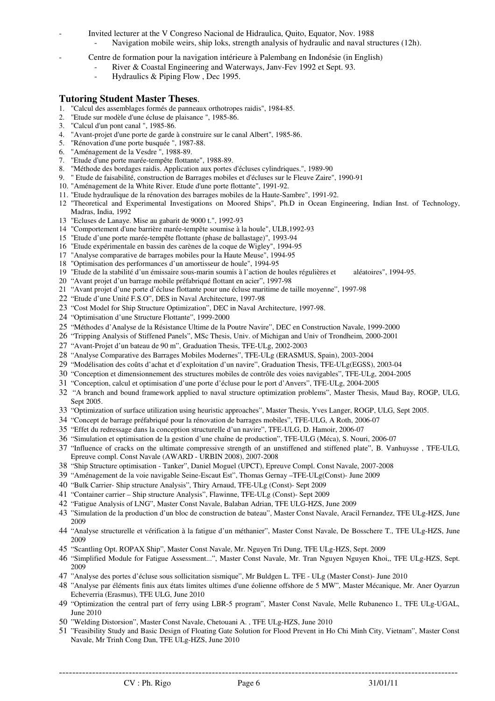- Invited lecturer at the V Congreso Nacional de Hidraulica, Quito, Equator, Nov. 1988 Navigation mobile weirs, ship loks, strength analysis of hydraulic and naval structures (12h).
- Centre de formation pour la navigation intérieure à Palembang en Indonésie (in English)
	- River & Coastal Engineering and Waterways, Janv-Fev 1992 et Sept. 93.
		- Hydraulics & Piping Flow, Dec 1995.

### **Tutoring Student Master Theses**.

- 1. "Calcul des assemblages formés de panneaux orthotropes raidis", 1984-85.
- 2. "Etude sur modèle d'une écluse de plaisance ", 1985-86.
- 3. "Calcul d'un pont canal ", 1985-86.
- 4. "Avant-projet d'une porte de garde à construire sur le canal Albert", 1985-86.
- 5. "Rénovation d'une porte busquée ", 1987-88.
- 6. "Aménagement de la Vesdre ", 1988-89.
- 7. "Etude d'une porte marée-tempête flottante", 1988-89.
- 8. "Méthode des bordages raidis. Application aux portes d'écluses cylindriques.", 1989-90
- 9. " Etude de faisabilité, construction de Barrages mobiles et d'écluses sur le Fleuve Zaire", 1990-91
- 10. "Aménagement de la White River. Etude d'une porte flottante", 1991-92.
- 11. "Etude hydraulique de la rénovation des barrages mobiles de la Haute-Sambre", 1991-92.
- 12 "Theoretical and Experimental Investigations on Moored Ships", Ph.D in Ocean Engineering, Indian Inst. of Technology, Madras, India, 1992
- 13 "Ecluses de Lanaye. Mise au gabarit de 9000 t.", 1992-93
- 14 "Comportement d'une barrière marée-tempête soumise à la houle", ULB,1992-93
- 15 "Etude d'une porte marée-tempête flottante (phase de ballastage)", 1993-94
- 16 "Etude expérimentale en bassin des carènes de la coque de Wigley", 1994-95
- 17 "Analyse comparative de barrages mobiles pour la Haute Meuse", 1994-95
- 18 "Optimisation des performances d'un amortisseur de houle", 1994-95
- 19 "Etude de la stabilité d'un émissaire sous-marin soumis à l'action de houles régulières et aléatoires", 1994-95.
- 20 "Avant projet d'un barrage mobile préfabriqué flottant en acier", 1997-98
- 21 "Avant projet d'une porte d'écluse flottante pour une écluse maritime de taille moyenne", 1997-98
- 22 "Etude d'une Unité F.S.O", DES in Naval Architecture, 1997-98
- 23 "Cost Model for Ship Structure Optimization", DEC in Naval Architecture, 1997-98.
- 24 "Optimisation d'une Structure Flottante", 1999-2000
- 25 "Méthodes d'Analyse de la Résistance Ultime de la Poutre Navire", DEC en Construction Navale, 1999-2000
- 26 "Tripping Analysis of Stiffened Panels", MSc Thesis, Univ. of Michigan and Univ of Trondheim, 2000-2001
- 27 "Avant-Projet d'un bateau de 90 m", Graduation Thesis, TFE-ULg, 2002-2003
- 28 "Analyse Comparative des Barrages Mobiles Modernes", TFE-ULg (ERASMUS, Spain), 2003-2004
- 29 "Modélisation des coûts d'achat et d'exploitation d'un navire", Graduation Thesis, TFE-ULg(EGSS), 2003-04
- 30 "Conception et dimensionnement des structures mobiles de contrôle des voies navigables", TFE-ULg, 2004-2005
- 31 "Conception, calcul et optimisation d'une porte d'écluse pour le port d'Anvers", TFE-ULg, 2004-2005
- 32 "A branch and bound framework applied to naval structure optimization problems", Master Thesis, Maud Bay, ROGP, ULG, Sept 2005.
- 33 "Optimization of surface utilization using heuristic approaches", Master Thesis, Yves Langer, ROGP, ULG, Sept 2005.
- 34 "Concept de barrage préfabriqué pour la rénovation de barrages mobiles", TFE-ULG, A Roth, 2006-07
- 35 "Effet du redressage dans la conception structurelle d'un navire", TFE-ULG, D. Hamoir, 2006-07
- 36 "Simulation et optimisation de la gestion d'une chaîne de production", TFE-ULG (Méca), S. Nouri, 2006-07
- 37 "Influence of cracks on the ultimate compressive strength of an unstiffened and stiffened plate", B. Vanhuysse , TFE-ULG, Epreuve compl. Const Navale (AWARD - URBIN 2008), 2007-2008
- 38 "Ship Structure optimisation Tanker", Daniel Moguel (UPCT), Epreuve Compl. Const Navale, 2007-2008
- 39 "Aménagement de la voie navigable Seine-Escaut Est", Thomas Gernay –TFE-ULg(Const)- June 2009
- 40 "Bulk Carrier- Ship structure Analysis", Thiry Arnaud, TFE-ULg (Const)- Sept 2009
- 41 "Container carrier Ship structure Analysis", Flawinne, TFE-ULg (Const)- Sept 2009
- 42 "Fatigue Analysis of LNG", Master Const Navale, Balaban Adrian, TFE ULG-HZS, June 2009
- 43 "Simulation de la production d'un bloc de construction de bateau", Master Const Navale, Aracil Fernandez, TFE ULg-HZS, June 2009
- 44 "Analyse structurelle et vérification à la fatigue d'un méthanier", Master Const Navale, De Bosschere T., TFE ULg-HZS, June 2009
- 45 "Scantling Opt. ROPAX Ship", Master Const Navale, Mr. Nguyen Tri Dung, TFE ULg-HZS, Sept. 2009
- 46 "Simplified Module for Fatigue Assessment...", Master Const Navale, Mr. Tran Nguyen Nguyen Khoi,, TFE ULg-HZS, Sept. 2009
- 47 "Analyse des portes d'écluse sous sollicitation sismique", Mr Buldgen L. TFE ULg (Master Const)- June 2010
- 48 "Analyse par éléments finis aux états limites ultimes d'une éolienne offshore de 5 MW", Master Mécanique, Mr. Aner Oyarzun Echeverria (Erasmus), TFE ULG, June 2010
- 49 "Optimization the central part of ferry using LBR-5 program", Master Const Navale, Melle Rubanenco I., TFE ULg-UGAL, June 2010
- 50 "Welding Distorsion", Master Const Navale, Chetouani A. , TFE ULg-HZS, June 2010
- 51 "Feasibility Study and Basic Design of Floating Gate Solution for Flood Prevent in Ho Chi Minh City, Vietnam", Master Const Navale, Mr Trinh Cong Dan, TFE ULg-HZS, June 2010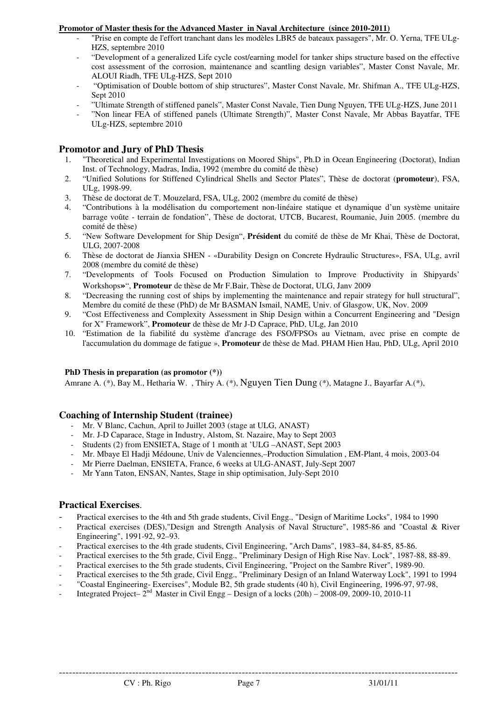#### **Promotor of Master thesis for the Advanced Master in Naval Architecture (since 2010-2011)**

- "Prise en compte de l'effort tranchant dans les modèles LBR5 de bateaux passagers", Mr. O. Yerna, TFE ULg-HZS, septembre 2010
- "Development of a generalized Life cycle cost/earning model for tanker ships structure based on the effective cost assessment of the corrosion, maintenance and scantling design variables", Master Const Navale, Mr. ALOUI Riadh, TFE ULg-HZS, Sept 2010
- "Optimisation of Double bottom of ship structures", Master Const Navale, Mr. Shifman A., TFE ULg-HZS, Sept 2010
- "Ultimate Strength of stiffened panels", Master Const Navale, Tien Dung Nguyen, TFE ULg-HZS, June 2011
- "Non linear FEA of stiffened panels (Ultimate Strength)", Master Const Navale, Mr Abbas Bayatfar, TFE ULg-HZS, septembre 2010

### **Promotor and Jury of PhD Thesis**

- 1. "Theoretical and Experimental Investigations on Moored Ships", Ph.D in Ocean Engineering (Doctorat), Indian Inst. of Technology, Madras, India, 1992 (membre du comité de thèse)
- 2. "Unified Solutions for Stiffened Cylindrical Shells and Sector Plates", Thèse de doctorat (**promoteur**), FSA, ULg, 1998-99.
- 3. Thèse de doctorat de T. Mouzelard, FSA, ULg, 2002 (membre du comité de thèse)
- 4. "Contributions à la modélisation du comportement non-linéaire statique et dynamique d'un système unitaire barrage voûte - terrain de fondation", Thèse de doctorat, UTCB, Bucarest, Roumanie, Juin 2005. (membre du comité de thèse)
- 5. "New Software Development for Ship Design", **Président** du comité de thèse de Mr Khai, Thèse de Doctorat, ULG, 2007-2008
- 6. Thèse de doctorat de Jianxia SHEN «Durability Design on Concrete Hydraulic Structures», FSA, ULg, avril 2008 (membre du comité de thèse)
- 7. "Developments of Tools Focused on Production Simulation to Improve Productivity in Shipyards' Workshops**»**", **Promoteur** de thèse de Mr F.Bair, Thèse de Doctorat, ULG, Janv 2009
- 8. "Decreasing the running cost of ships by implementing the maintenance and repair strategy for hull structural", Membre du comité de these (PhD) de Mr BASMAN Ismail, NAME, Univ. of Glasgow, UK, Nov. 2009
- 9. "Cost Effectiveness and Complexity Assessment in Ship Design within a Concurrent Engineering and "Design for X" Framework", **Promoteur** de thèse de Mr J-D Caprace, PhD, ULg, Jan 2010
- 10. "Estimation de la fiabilité du système d'ancrage des FSO/FPSOs au Vietnam, avec prise en compte de l'accumulation du dommage de fatigue », **Promoteur** de thèse de Mad. PHAM Hien Hau, PhD, ULg, April 2010

#### **PhD Thesis in preparation (as promotor (\*))**

Amrane A. (\*), Bay M., Hetharia W. , Thiry A. (\*), Nguyen Tien Dung (\*), Matagne J., Bayarfar A.(\*),

#### **Coaching of Internship Student (trainee)**

- Mr. V Blanc, Cachun, April to Juillet 2003 (stage at ULG, ANAST)
- Mr. J-D Caparace, Stage in Industry, Alstom, St. Nazaire, May to Sept 2003
- Students (2) from ENSIETA, Stage of 1 month at 'ULG –ANAST, Sept 2003
- Mr. Mbaye El Hadji Médoune, Univ de Valenciennes,–Production Simulation , EM-Plant, 4 mois, 2003-04
- Mr Pierre Daelman, ENSIETA, France, 6 weeks at ULG-ANAST, July-Sept 2007
- Mr Yann Taton, ENSAN, Nantes, Stage in ship optimisation, July-Sept 2010

### **Practical Exercises**.

- Practical exercises to the 4th and 5th grade students, Civil Engg., "Design of Maritime Locks", 1984 to 1990
- Practical exercises (DES),"Design and Strength Analysis of Naval Structure", 1985-86 and "Coastal & River Engineering", 1991-92, 92–93.
- Practical exercises to the 4th grade students, Civil Engineering, "Arch Dams", 1983–84, 84-85, 85-86.
- Practical exercises to the 5th grade, Civil Engg., "Preliminary Design of High Rise Nav. Lock", 1987-88, 88-89.
- Practical exercises to the 5th grade students, Civil Engineering, "Project on the Sambre River", 1989-90.
- Practical exercises to the 5th grade, Civil Engg., "Preliminary Design of an Inland Waterway Lock", 1991 to 1994
- "Coastal Engineering-Exercises", Module B2, 5th grade students (40 h), Civil Engineering, 1996-97, 97-98,
- Integrated Project–  $2<sup>nd</sup>$  Master in Civil Engg Design of a locks (20h) 2008-09, 2009-10, 2010-11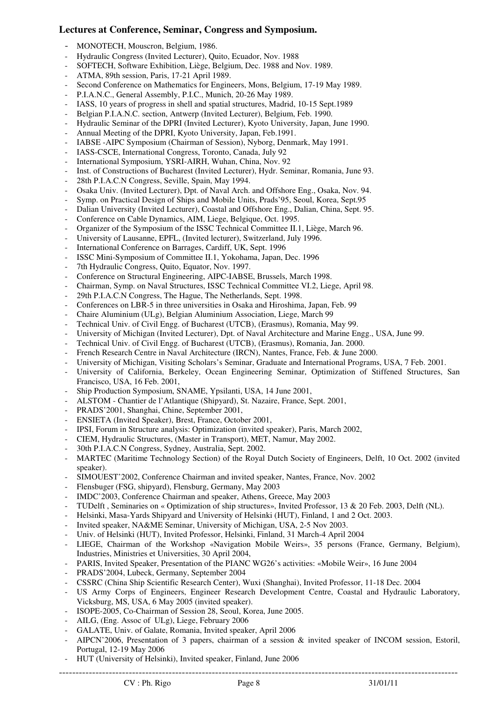## **Lectures at Conference, Seminar, Congress and Symposium.**

- MONOTECH, Mouscron, Belgium, 1986.
- Hydraulic Congress (Invited Lecturer), Quito, Ecuador, Nov. 1988
- SOFTECH, Software Exhibition, Liège, Belgium, Dec. 1988 and Nov. 1989.
- ATMA, 89th session, Paris, 17-21 April 1989.
- Second Conference on Mathematics for Engineers, Mons, Belgium, 17-19 May 1989.
- P.I.A.N.C., General Assembly, P.I.C., Munich, 20-26 May 1989.
- IASS, 10 years of progress in shell and spatial structures, Madrid, 10-15 Sept.1989
- Belgian P.I.A.N.C. section, Antwerp (Invited Lecturer), Belgium, Feb. 1990.
- Hydraulic Seminar of the DPRI (Invited Lecturer), Kyoto University, Japan, June 1990.
- Annual Meeting of the DPRI, Kyoto University, Japan, Feb.1991.
- IABSE -AIPC Symposium (Chairman of Session), Nyborg, Denmark, May 1991.
- IASS-CSCE, International Congress, Toronto, Canada, July 92
- International Symposium, YSRI-AIRH, Wuhan, China, Nov. 92
- Inst. of Constructions of Bucharest (Invited Lecturer), Hydr. Seminar, Romania, June 93.
- 28th P.I.A.C.N Congress, Seville, Spain, May 1994.
- Osaka Univ. (Invited Lecturer), Dpt. of Naval Arch. and Offshore Eng., Osaka, Nov. 94.
- Symp. on Practical Design of Ships and Mobile Units, Prads'95, Seoul, Korea, Sept.95
- Dalian University (Invited Lecturer), Coastal and Offshore Eng., Dalian, China, Sept. 95.
- Conference on Cable Dynamics, AIM, Liege, Belgique, Oct. 1995.
- Organizer of the Symposium of the ISSC Technical Committee II.1, Liège, March 96.
- University of Lausanne, EPFL, (Invited lecturer), Switzerland, July 1996.
- International Conference on Barrages, Cardiff, UK, Sept. 1996
- ISSC Mini-Symposium of Committee II.1, Yokohama, Japan, Dec. 1996
- 7th Hydraulic Congress, Quito, Equator, Nov. 1997.
- Conference on Structural Engineering, AIPC-IABSE, Brussels, March 1998.
- Chairman, Symp. on Naval Structures, ISSC Technical Committee VI.2, Liege, April 98.
- 29th P.I.A.C.N Congress, The Hague, The Netherlands, Sept. 1998.
- Conferences on LBR-5 in three universities in Osaka and Hiroshima, Japan, Feb. 99
- Chaire Aluminium (ULg), Belgian Aluminium Association, Liege, March 99
- Technical Univ. of Civil Engg. of Bucharest (UTCB), (Erasmus), Romania, May 99.
- University of Michigan (Invited Lecturer), Dpt. of Naval Architecture and Marine Engg., USA, June 99.
- Technical Univ. of Civil Engg. of Bucharest (UTCB), (Erasmus), Romania, Jan. 2000.
- French Research Centre in Naval Architecture (IRCN), Nantes, France, Feb. & June 2000.
- University of Michigan, Visiting Scholars's Seminar, Graduate and International Programs, USA, 7 Feb. 2001.
- University of California, Berkeley, Ocean Engineering Seminar, Optimization of Stiffened Structures, San Francisco, USA, 16 Feb. 2001,
- Ship Production Symposium, SNAME, Ypsilanti, USA, 14 June 2001,
- ALSTOM Chantier de l'Atlantique (Shipyard), St. Nazaire, France, Sept. 2001,
- PRADS'2001, Shanghai, Chine, September 2001,
- ENSIETA (Invited Speaker), Brest, France, October 2001,
- IPSI, Forum in Structure analysis: Optimization (invited speaker), Paris, March 2002,
- CIEM, Hydraulic Structures, (Master in Transport), MET, Namur, May 2002.
- 30th P.I.A.C.N Congress, Sydney, Australia, Sept. 2002.
- MARTEC (Maritime Technology Section) of the Royal Dutch Society of Engineers, Delft, 10 Oct. 2002 (invited speaker).
- SIMOUEST'2002, Conference Chairman and invited speaker, Nantes, France, Nov. 2002
- Flensbuger (FSG, shipyard), Flensburg, Germany, May 2003
- IMDC'2003, Conference Chairman and speaker, Athens, Greece, May 2003
- TUDelft , Seminaries on « Optimization of ship structures», Invited Professor, 13 & 20 Feb. 2003, Delft (NL).
- Helsinki, Masa-Yards Shipyard and University of Helsinki (HUT), Finland, 1 and 2 Oct. 2003.
- Invited speaker, NA&ME Seminar, University of Michigan, USA, 2-5 Nov 2003.
- Univ. of Helsinki (HUT), Invited Professor, Helsinki, Finland, 31 March-4 April 2004
- LIEGE, Chairman of the Workshop «Navigation Mobile Weirs», 35 persons (France, Germany, Belgium), Industries, Ministries et Universities, 30 April 2004,
- PARIS, Invited Speaker, Presentation of the PIANC WG26's activities: «Mobile Weir», 16 June 2004
- PRADS'2004, Lubeck, Germany, September 2004
- CSSRC (China Ship Scientific Research Center), Wuxi (Shanghai), Invited Professor, 11-18 Dec. 2004
- US Army Corps of Engineers, Engineer Research Development Centre, Coastal and Hydraulic Laboratory, Vicksburg, MS, USA, 6 May 2005 (invited speaker).
- ISOPE-2005, Co-Chairman of Session 28, Seoul, Korea, June 2005.
- AILG, (Eng. Assoc of ULg), Liege, February 2006
- GALATE, Univ. of Galate, Romania, Invited speaker, April 2006
- AIPCN'2006, Presentation of 3 papers, chairman of a session & invited speaker of INCOM session, Estoril, Portugal, 12-19 May 2006
- HUT (University of Helsinki), Invited speaker, Finland, June 2006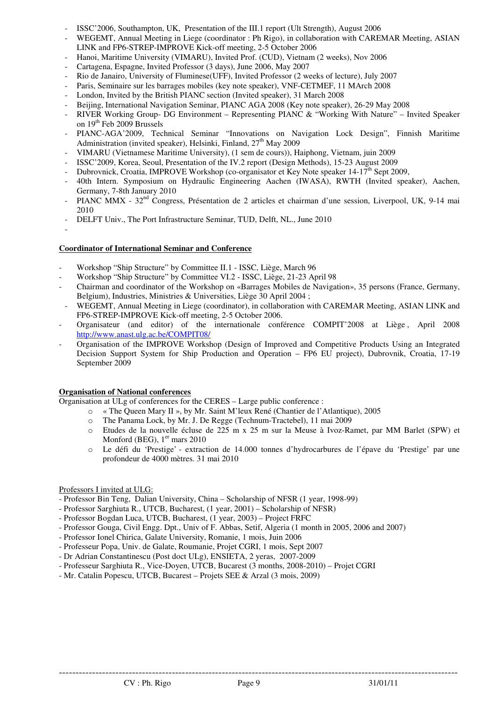- ISSC'2006, Southampton, UK, Presentation of the III.1 report (Ult Strength), August 2006
- WEGEMT, Annual Meeting in Liege (coordinator : Ph Rigo), in collaboration with CAREMAR Meeting, ASIAN LINK and FP6-STREP-IMPROVE Kick-off meeting, 2-5 October 2006
- Hanoi, Maritime University (VIMARU), Invited Prof. (CUD), Vietnam (2 weeks), Nov 2006
- Cartagena, Espagne, Invited Professor (3 days), June 2006, May 2007
- Rio de Janairo, University of Fluminese(UFF), Invited Professor (2 weeks of lecture), July 2007
- Paris, Seminaire sur les barrages mobiles (key note speaker), VNF-CETMEF, 11 MArch 2008
- London, Invited by the British PIANC section (Invited speaker), 31 March 2008
- Beijing, International Navigation Seminar, PIANC AGA 2008 (Key note speaker), 26-29 May 2008
- RIVER Working Group- DG Environment Representing PIANC & "Working With Nature" Invited Speaker on 19<sup>th</sup> Feb 2009 Brussels
- PIANC-AGA'2009, Technical Seminar "Innovations on Navigation Lock Design", Finnish Maritime Administration (invited speaker), Helsinki, Finland, 27<sup>th</sup> May 2009
- VIMARU (Vietnamese Maritime University), (1 sem de cours)), Haiphong, Vietnam, juin 2009
- ISSC'2009, Korea, Seoul, Presentation of the IV.2 report (Design Methods), 15-23 August 2009
- Dubrovnick, Croatia, IMPROVE Workshop (co-organisator et Key Note speaker  $14-17<sup>th</sup>$  Sept 2009,
- 40th Intern. Symposium on Hydraulic Engineering Aachen (IWASA), RWTH (Invited speaker), Aachen, Germany, 7-8th January 2010
- PIANC MMX 32<sup>nd</sup> Congress, Présentation de 2 articles et chairman d'une session, Liverpool, UK, 9-14 mai 2010
- DELFT Univ., The Port Infrastructure Seminar, TUD, Delft, NL., June 2010
- -

#### **Coordinator of International Seminar and Conference**

- Workshop "Ship Structure" by Committee II.1 ISSC, Liège, March 96
- Workshop "Ship Structure" by Committee VI.2 ISSC, Liège, 21-23 April 98
- Chairman and coordinator of the Workshop on «Barrages Mobiles de Navigation», 35 persons (France, Germany, Belgium), Industries, Ministries & Universities, Liège 30 April 2004 ;
- WEGEMT, Annual Meeting in Liege (coordinator), in collaboration with CAREMAR Meeting, ASIAN LINK and FP6-STREP-IMPROVE Kick-off meeting, 2-5 October 2006.
- Organisateur (and editor) of the internationale conférence COMPIT'2008 at Liège , April 2008 http://www.anast.ulg.ac.be/COMPIT08/
- Organisation of the IMPROVE Workshop (Design of Improved and Competitive Products Using an Integrated Decision Support System for Ship Production and Operation – FP6 EU project), Dubrovnik, Croatia, 17-19 September 2009

#### **Organisation of National conferences**

Organisation at ULg of conferences for the CERES – Large public conference :

- o « The Queen Mary II », by Mr. Saint M'leux René (Chantier de l'Atlantique), 2005
- o The Panama Lock, by Mr. J. De Regge (Technum-Tractebel), 11 mai 2009
- o Etudes de la nouvelle écluse de 225 m x 25 m sur la Meuse à Ivoz-Ramet, par MM Barlet (SPW) et Monford (BEG),  $1<sup>er</sup>$  mars 2010
- o Le défi du 'Prestige' extraction de 14.000 tonnes d'hydrocarbures de l'épave du 'Prestige' par une profondeur de 4000 mètres. 31 mai 2010

#### Professors I invited at ULG:

- Professor Bin Teng, Dalian University, China Scholarship of NFSR (1 year, 1998-99)
- Professor Sarghiuta R., UTCB, Bucharest, (1 year, 2001) Scholarship of NFSR)
- Professor Bogdan Luca, UTCB, Bucharest, (1 year, 2003) Project FRFC
- Professor Gouga, Civil Engg. Dpt., Univ of F. Abbas, Setif, Algeria (1 month in 2005, 2006 and 2007)
- Professor Ionel Chirica, Galate University, Romanie, 1 mois, Juin 2006
- Professeur Popa, Univ. de Galate, Roumanie, Projet CGRI, 1 mois, Sept 2007
- Dr Adrian Constantinescu (Post doct ULg), ENSIETA, 2 yeras, 2007-2009
- Professeur Sarghiuta R., Vice-Doyen, UTCB, Bucarest (3 months, 2008-2010) Projet CGRI
- Mr. Catalin Popescu, UTCB, Bucarest Projets SEE & Arzal (3 mois, 2009)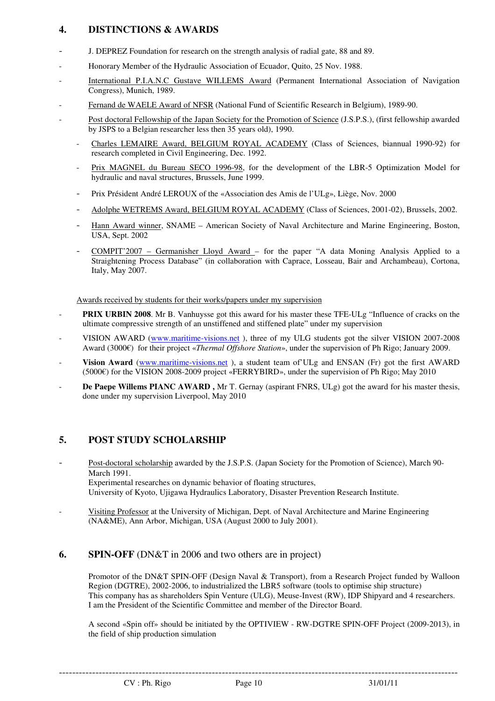# **4. DISTINCTIONS & AWARDS**

- J. DEPREZ Foundation for research on the strength analysis of radial gate, 88 and 89.
- Honorary Member of the Hydraulic Association of Ecuador, Quito, 25 Nov. 1988.
- International P.I.A.N.C Gustave WILLEMS Award (Permanent International Association of Navigation Congress), Munich, 1989.
- Fernand de WAELE Award of NFSR (National Fund of Scientific Research in Belgium), 1989-90.
- Post doctoral Fellowship of the Japan Society for the Promotion of Science (J.S.P.S.), (first fellowship awarded by JSPS to a Belgian researcher less then 35 years old), 1990.
	- Charles LEMAIRE Award, BELGIUM ROYAL ACADEMY (Class of Sciences, biannual 1990-92) for research completed in Civil Engineering, Dec. 1992.
	- Prix MAGNEL du Bureau SECO 1996-98, for the development of the LBR-5 Optimization Model for hydraulic and naval structures, Brussels, June 1999.
	- Prix Président André LEROUX of the «Association des Amis de l'ULg», Liège, Nov. 2000
	- Adolphe WETREMS Award, BELGIUM ROYAL ACADEMY (Class of Sciences, 2001-02), Brussels, 2002.
	- Hann Award winner, SNAME American Society of Naval Architecture and Marine Engineering, Boston, USA, Sept. 2002
	- COMPIT'2007 Germanisher Lloyd Award for the paper "A data Moning Analysis Applied to a Straightening Process Database" (in collaboration with Caprace, Losseau, Bair and Archambeau), Cortona, Italy, May 2007.

Awards received by students for their works/papers under my supervision

- PRIX URBIN 2008. Mr B. Vanhuysse got this award for his master these TFE-ULg "Influence of cracks on the ultimate compressive strength of an unstiffened and stiffened plate" under my supervision
- VISION AWARD (www.maritime-visions.net ), three of my ULG students got the silver VISION 2007-2008 Award (3000€) for their project «*Thermal Offshore Station*», under the supervision of Ph Rigo; January 2009.
- **Vision Award** (www.maritime-visions.net), a student team of ULg and ENSAN (Fr) got the first AWARD (5000€) for the VISION 2008-2009 project «FERRYBIRD», under the supervision of Ph Rigo; May 2010
- De Paepe Willems PIANC AWARD, Mr T. Gernay (aspirant FNRS, ULg) got the award for his master thesis, done under my supervision Liverpool, May 2010

# **5. POST STUDY SCHOLARSHIP**

- Post-doctoral scholarship awarded by the J.S.P.S. (Japan Society for the Promotion of Science), March 90- March 1991. Experimental researches on dynamic behavior of floating structures, University of Kyoto, Ujigawa Hydraulics Laboratory, Disaster Prevention Research Institute.
- Visiting Professor at the University of Michigan, Dept. of Naval Architecture and Marine Engineering (NA&ME), Ann Arbor, Michigan, USA (August 2000 to July 2001).

# **6.** SPIN-OFF (DN&T in 2006 and two others are in project)

 Promotor of the DN&T SPIN-OFF (Design Naval & Transport), from a Research Project funded by Walloon Region (DGTRE), 2002-2006, to industrialized the LBR5 software (tools to optimise ship structure) This company has as shareholders Spin Venture (ULG), Meuse-Invest (RW), IDP Shipyard and 4 researchers. I am the President of the Scientific Committee and member of the Director Board.

 A second «Spin off» should be initiated by the OPTIVIEW - RW-DGTRE SPIN-OFF Project (2009-2013), in the field of ship production simulation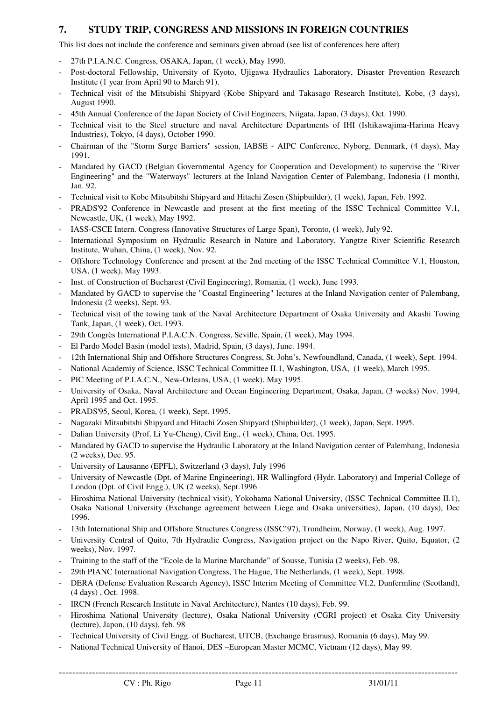# **7. STUDY TRIP, CONGRESS AND MISSIONS IN FOREIGN COUNTRIES**

This list does not include the conference and seminars given abroad (see list of conferences here after)

- 27th P.I.A.N.C. Congress, OSAKA, Japan, (1 week), May 1990.
- Post-doctoral Fellowship, University of Kyoto, Ujigawa Hydraulics Laboratory, Disaster Prevention Research Institute (1 year from April 90 to March 91).
- Technical visit of the Mitsubishi Shipyard (Kobe Shipyard and Takasago Research Institute), Kobe, (3 days), August 1990.
- 45th Annual Conference of the Japan Society of Civil Engineers, Niigata, Japan, (3 days), Oct. 1990.
- Technical visit to the Steel structure and naval Architecture Departments of IHI (Ishikawajima-Harima Heavy Industries), Tokyo, (4 days), October 1990.
- Chairman of the "Storm Surge Barriers" session, IABSE AIPC Conference, Nyborg, Denmark, (4 days), May 1991.
- Mandated by GACD (Belgian Governmental Agency for Cooperation and Development) to supervise the "River Engineering" and the "Waterways" lecturers at the Inland Navigation Center of Palembang, Indonesia (1 month), Jan. 92.
- Technical visit to Kobe Mitsubitshi Shipyard and Hitachi Zosen (Shipbuilder), (1 week), Japan, Feb. 1992.
- PRADS'92 Conference in Newcastle and present at the first meeting of the ISSC Technical Committee V.1, Newcastle, UK, (1 week), May 1992.
- IASS-CSCE Intern. Congress (Innovative Structures of Large Span), Toronto, (1 week), July 92.
- International Symposium on Hydraulic Research in Nature and Laboratory, Yangtze River Scientific Research Institute, Wuhan, China, (1 week), Nov. 92.
- Offshore Technology Conference and present at the 2nd meeting of the ISSC Technical Committee V.1, Houston, USA, (1 week), May 1993.
- Inst. of Construction of Bucharest (Civil Engineering), Romania, (1 week), June 1993.
- Mandated by GACD to supervise the "Coastal Engineering" lectures at the Inland Navigation center of Palembang, Indonesia (2 weeks), Sept. 93.
- Technical visit of the towing tank of the Naval Architecture Department of Osaka University and Akashi Towing Tank, Japan, (1 week), Oct. 1993.
- 29th Congrès International P.I.A.C.N. Congress, Seville, Spain, (1 week), May 1994.
- El Pardo Model Basin (model tests), Madrid, Spain, (3 days), June. 1994.
- 12th International Ship and Offshore Structures Congress, St. John's, Newfoundland, Canada, (1 week), Sept. 1994.
- National Academiy of Science, ISSC Technical Committee II.1, Washington, USA, (1 week), March 1995.
- PIC Meeting of P.I.A.C.N., New-Orleans, USA,  $(1 \text{ week})$ , May 1995.
- University of Osaka, Naval Architecture and Ocean Engineering Department, Osaka, Japan, (3 weeks) Nov. 1994, April 1995 and Oct. 1995.
- PRADS'95, Seoul, Korea, (1 week), Sept. 1995.
- Nagazaki Mitsubitshi Shipyard and Hitachi Zosen Shipyard (Shipbuilder), (1 week), Japan, Sept. 1995.
- Dalian University (Prof. Li Yu-Cheng), Civil Eng., (1 week), China, Oct. 1995.
- Mandated by GACD to supervise the Hydraulic Laboratory at the Inland Navigation center of Palembang, Indonesia (2 weeks), Dec. 95.
- University of Lausanne (EPFL), Switzerland (3 days), July 1996
- University of Newcastle (Dpt. of Marine Engineering), HR Wallingford (Hydr. Laboratory) and Imperial College of London (Dpt. of Civil Engg.), UK (2 weeks), Sept.1996
- Hiroshima National University (technical visit), Yokohama National University, (ISSC Technical Committee II.1), Osaka National University (Exchange agreement between Liege and Osaka universities), Japan, (10 days), Dec 1996.
- 13th International Ship and Offshore Structures Congress (ISSC'97), Trondheim, Norway, (1 week), Aug. 1997.
- University Central of Quito, 7th Hydraulic Congress, Navigation project on the Napo River, Quito, Equator, (2 weeks), Nov. 1997.
- Training to the staff of the "Ecole de la Marine Marchande" of Sousse, Tunisia (2 weeks), Feb. 98,
- 29th PIANC International Navigation Congress, The Hague, The Netherlands, (1 week), Sept. 1998.
- DERA (Defense Evaluation Research Agency), ISSC Interim Meeting of Committee VI.2, Dunfermline (Scotland), (4 days) , Oct. 1998.
- IRCN (French Research Institute in Naval Architecture), Nantes (10 days), Feb. 99.
- Hiroshima National University (lecture), Osaka National University (CGRI project) et Osaka City University (lecture), Japon, (10 days), feb. 98
- Technical University of Civil Engg. of Bucharest, UTCB, (Exchange Erasmus), Romania (6 days), May 99.
- National Technical University of Hanoi, DES –European Master MCMC, Vietnam (12 days), May 99.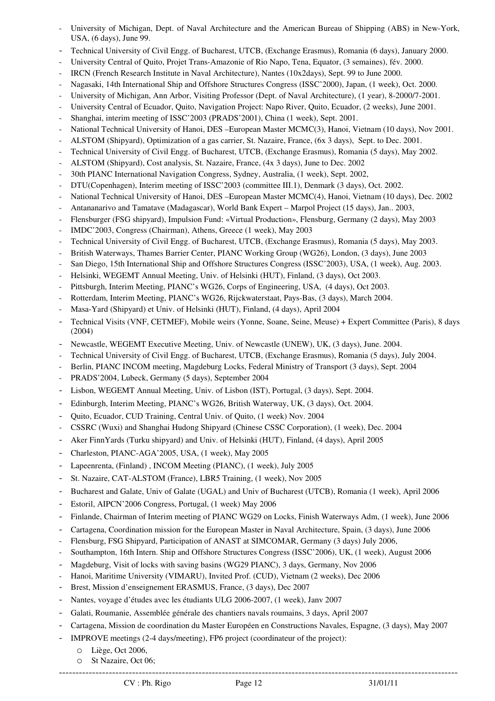- University of Michigan, Dept. of Naval Architecture and the American Bureau of Shipping (ABS) in New-York, USA, (6 days), June 99.
- Technical University of Civil Engg. of Bucharest, UTCB, (Exchange Erasmus), Romania (6 days), January 2000.
- University Central of Quito, Projet Trans-Amazonie of Rio Napo, Tena, Equator, (3 semaines), fév. 2000.
- IRCN (French Research Institute in Naval Architecture), Nantes (10x2days), Sept. 99 to June 2000.
- Nagasaki, 14th International Ship and Offshore Structures Congress (ISSC'2000), Japan, (1 week), Oct. 2000.
- University of Michigan, Ann Arbor, Visiting Professor (Dept. of Naval Architecture), (1 year), 8-2000/7-2001.
- University Central of Ecuador, Quito, Navigation Project: Napo River, Quito, Ecuador, (2 weeks), June 2001.
- Shanghai, interim meeting of ISSC'2003 (PRADS'2001), China (1 week), Sept. 2001.
- National Technical University of Hanoi, DES –European Master MCMC(3), Hanoi, Vietnam (10 days), Nov 2001.
- ALSTOM (Shipyard), Optimization of a gas carrier, St. Nazaire, France, (6x 3 days), Sept. to Dec. 2001.
- Technical University of Civil Engg. of Bucharest, UTCB, (Exchange Erasmus), Romania (5 days), May 2002.
- ALSTOM (Shipyard), Cost analysis, St. Nazaire, France, (4x 3 days), June to Dec. 2002
- 30th PIANC International Navigation Congress, Sydney, Australia, (1 week), Sept. 2002,
- DTU(Copenhagen), Interim meeting of ISSC'2003 (committee III.1), Denmark (3 days), Oct. 2002.
- National Technical University of Hanoi, DES –European Master MCMC(4), Hanoi, Vietnam (10 days), Dec. 2002
- Antananarivo and Tamatave (Madagascar), World Bank Expert Marpol Project (15 days), Jan.. 2003,
- Flensburger (FSG shipyard), Impulsion Fund: «Virtual Production», Flensburg, Germany (2 days), May 2003
- IMDC'2003, Congress (Chairman), Athens, Greece (1 week), May 2003
- Technical University of Civil Engg. of Bucharest, UTCB, (Exchange Erasmus), Romania (5 days), May 2003.
- British Waterways, Thames Barrier Center, PIANC Working Group (WG26), London, (3 days), June 2003
- San Diego, 15th International Ship and Offshore Structures Congress (ISSC'2003), USA, (1 week), Aug. 2003.
- Helsinki, WEGEMT Annual Meeting, Univ. of Helsinki (HUT), Finland, (3 days), Oct 2003.
- Pittsburgh, Interim Meeting, PIANC's WG26, Corps of Engineering, USA, (4 days), Oct 2003.
- Rotterdam, Interim Meeting, PIANC's WG26, Rijckwaterstaat, Pays-Bas, (3 days), March 2004.
- Masa-Yard (Shipyard) et Univ. of Helsinki (HUT), Finland, (4 days), April 2004
- Technical Visits (VNF, CETMEF), Mobile weirs (Yonne, Soane, Seine, Meuse) + Expert Committee (Paris), 8 days (2004)
- Newcastle, WEGEMT Executive Meeting, Univ. of Newcastle (UNEW), UK, (3 days), June. 2004.
- Technical University of Civil Engg. of Bucharest, UTCB, (Exchange Erasmus), Romania (5 days), July 2004.
- Berlin, PIANC INCOM meeting, Magdeburg Locks, Federal Ministry of Transport (3 days), Sept. 2004
- PRADS'2004, Lubeck, Germany (5 days), September 2004
- Lisbon, WEGEMT Annual Meeting, Univ. of Lisbon (IST), Portugal, (3 days), Sept. 2004.
- Edinburgh, Interim Meeting, PIANC's WG26, British Waterway, UK, (3 days), Oct. 2004.
- Quito, Ecuador, CUD Training, Central Univ. of Quito, (1 week) Nov. 2004
- CSSRC (Wuxi) and Shanghai Hudong Shipyard (Chinese CSSC Corporation), (1 week), Dec. 2004
- Aker FinnYards (Turku shipyard) and Univ. of Helsinki (HUT), Finland, (4 days), April 2005
- Charleston, PIANC-AGA'2005, USA, (1 week), May 2005
- Lapeenrenta, (Finland), INCOM Meeting (PIANC), (1 week), July 2005
- St. Nazaire, CAT-ALSTOM (France), LBR5 Training, (1 week), Nov 2005
- Bucharest and Galate, Univ of Galate (UGAL) and Univ of Bucharest (UTCB), Romania (1 week), April 2006
- Estoril, AIPCN'2006 Congress, Portugal, (1 week) May 2006
- Finlande, Chairman of Interim meeting of PIANC WG29 on Locks, Finish Waterways Adm, (1 week), June 2006
- Cartagena, Coordination mission for the European Master in Naval Architecture, Spain, (3 days), June 2006
- Flensburg, FSG Shipyard, Participation of ANAST at SIMCOMAR, Germany (3 days) July 2006,
- Southampton, 16th Intern. Ship and Offshore Structures Congress (ISSC'2006), UK, (1 week), August 2006
- Magdeburg, Visit of locks with saving basins (WG29 PIANC), 3 days, Germany, Nov 2006
- Hanoi, Maritime University (VIMARU), Invited Prof. (CUD), Vietnam (2 weeks), Dec 2006
- Brest, Mission d'enseignement ERASMUS, France, (3 days), Dec 2007
- Nantes, voyage d'études avec les étudiants ULG 2006-2007, (1 week), Janv 2007
- Galati, Roumanie, Assemblée générale des chantiers navals roumains, 3 days, April 2007
- Cartagena, Mission de coordination du Master Européen en Constructions Navales, Espagne, (3 days), May 2007
- IMPROVE meetings (2-4 days/meeting), FP6 project (coordinateur of the project):
	- o Liège, Oct 2006,
	- o St Nazaire, Oct 06;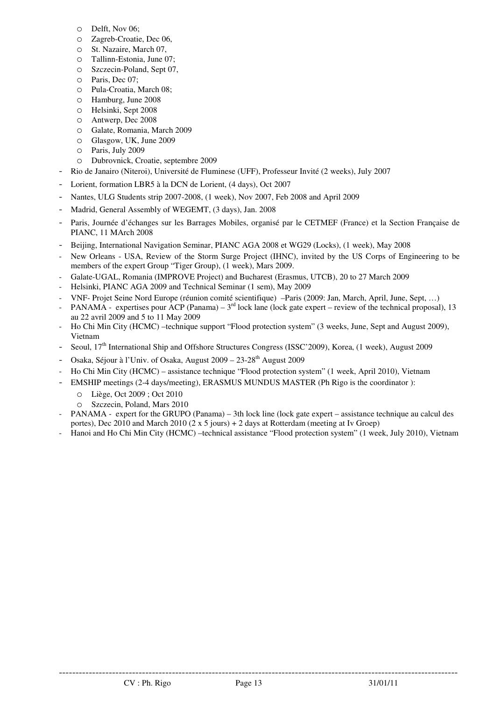- o Delft, Nov 06;
- o Zagreb-Croatie, Dec 06,
- o St. Nazaire, March 07,
- o Tallinn-Estonia, June 07;
- o Szczecin-Poland, Sept 07,
- o Paris, Dec 07;
- o Pula-Croatia, March 08;
- o Hamburg, June 2008
- o Helsinki, Sept 2008
- o Antwerp, Dec 2008
- o Galate, Romania, March 2009
- o Glasgow, UK, June 2009
- o Paris, July 2009
- o Dubrovnick, Croatie, septembre 2009
- Rio de Janairo (Niteroi), Université de Fluminese (UFF), Professeur Invité (2 weeks), July 2007
- Lorient, formation LBR5 à la DCN de Lorient, (4 days), Oct 2007
- Nantes, ULG Students strip 2007-2008, (1 week), Nov 2007, Feb 2008 and April 2009
- Madrid, General Assembly of WEGEMT, (3 days), Jan. 2008
- Paris, Journée d'échanges sur les Barrages Mobiles, organisé par le CETMEF (France) et la Section Française de PIANC, 11 MArch 2008
- Beijing, International Navigation Seminar, PIANC AGA 2008 et WG29 (Locks), (1 week), May 2008
- New Orleans USA, Review of the Storm Surge Project (IHNC), invited by the US Corps of Engineering to be members of the expert Group "Tiger Group), (1 week), Mars 2009.
- Galate-UGAL, Romania (IMPROVE Project) and Bucharest (Erasmus, UTCB), 20 to 27 March 2009
- Helsinki, PIANC AGA 2009 and Technical Seminar (1 sem), May 2009
- VNF- Projet Seine Nord Europe (réunion comité scientifique) –Paris (2009: Jan, March, April, June, Sept, …)
- $PANAMA -$  expertises pour ACP (Panama)  $3<sup>rd</sup>$  lock lane (lock gate expert review of the technical proposal), 13 au 22 avril 2009 and 5 to 11 May 2009
- Ho Chi Min City (HCMC) –technique support "Flood protection system" (3 weeks, June, Sept and August 2009), Vietnam
- Seoul, 17<sup>th</sup> International Ship and Offshore Structures Congress (ISSC'2009), Korea, (1 week), August 2009
- Osaka, Séjour à l'Univ. of Osaka, August 2009 23-28<sup>th</sup> August 2009
- Ho Chi Min City (HCMC) assistance technique "Flood protection system" (1 week, April 2010), Vietnam
- EMSHIP meetings (2-4 days/meeting), ERASMUS MUNDUS MASTER (Ph Rigo is the coordinator ):
	- o Liège, Oct 2009 ; Oct 2010
	- o Szczecin, Poland, Mars 2010
- PANAMA expert for the GRUPO (Panama) 3th lock line (lock gate expert assistance technique au calcul des portes), Dec 2010 and March 2010 (2 x 5 jours) + 2 days at Rotterdam (meeting at Iv Groep)
- Hanoi and Ho Chi Min City (HCMC) –technical assistance "Flood protection system" (1 week, July 2010), Vietnam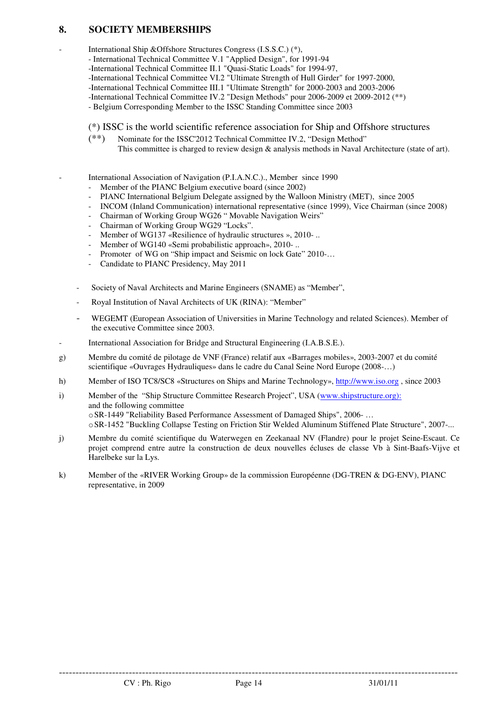## **8. SOCIETY MEMBERSHIPS**

International Ship &Offshore Structures Congress (I.S.S.C.) (\*),

- International Technical Committee V.1 "Applied Design", for 1991-94
- -International Technical Committee II.1 "Quasi-Static Loads" for 1994-97,
- -International Technical Committee VI.2 "Ultimate Strength of Hull Girder" for 1997-2000,
- -International Technical Committee III.1 "Ultimate Strength" for 2000-2003 and 2003-2006
- -International Technical Committee IV.2 "Design Methods" pour 2006-2009 et 2009-2012 (\*\*)
- Belgium Corresponding Member to the ISSC Standing Committee since 2003

### (\*) ISSC is the world scientific reference association for Ship and Offshore structures

(\*\*) Nominate for the ISSC'2012 Technical Committee IV.2, "Design Method" This committee is charged to review design & analysis methods in Naval Architecture (state of art).

International Association of Navigation (P.I.A.N.C.)., Member since 1990

- Member of the PIANC Belgium executive board (since 2002)
- PIANC International Belgium Delegate assigned by the Walloon Ministry (MET), since 2005
- INCOM (Inland Communication) international representative (since 1999), Vice Chairman (since 2008)
- Chairman of Working Group WG26 " Movable Navigation Weirs"
- Chairman of Working Group WG29 "Locks".
- Member of WG137 «Resilience of hydraulic structures », 2010- ..
- Member of WG140 «Semi probabilistic approach», 2010-..
- Promoter of WG on "Ship impact and Seismic on lock Gate" 2010-...
- Candidate to PIANC Presidency, May 2011
- Society of Naval Architects and Marine Engineers (SNAME) as "Member",
- Royal Institution of Naval Architects of UK (RINA): "Member"
- WEGEMT (European Association of Universities in Marine Technology and related Sciences). Member of the executive Committee since 2003.
- International Association for Bridge and Structural Engineering (I.A.B.S.E.).
- g) Membre du comité de pilotage de VNF (France) relatif aux «Barrages mobiles», 2003-2007 et du comité scientifique «Ouvrages Hydrauliques» dans le cadre du Canal Seine Nord Europe (2008-…)
- h) Member of ISO TC8/SC8 «Structures on Ships and Marine Technology», http://www.iso.org , since 2003
- i) Member of the "Ship Structure Committee Research Project", USA (www.shipstructure.org): and the following committee oSR-1449 "Reliability Based Performance Assessment of Damaged Ships", 2006- … oSR-1452 "Buckling Collapse Testing on Friction Stir Welded Aluminum Stiffened Plate Structure", 2007-...
- j) Membre du comité scientifique du Waterwegen en Zeekanaal NV (Flandre) pour le projet Seine-Escaut. Ce projet comprend entre autre la construction de deux nouvelles écluses de classe Vb à Sint-Baafs-Vijve et Harelbeke sur la Lys.
- k) Member of the «RIVER Working Group» de la commission Européenne (DG-TREN & DG-ENV), PIANC representative, in 2009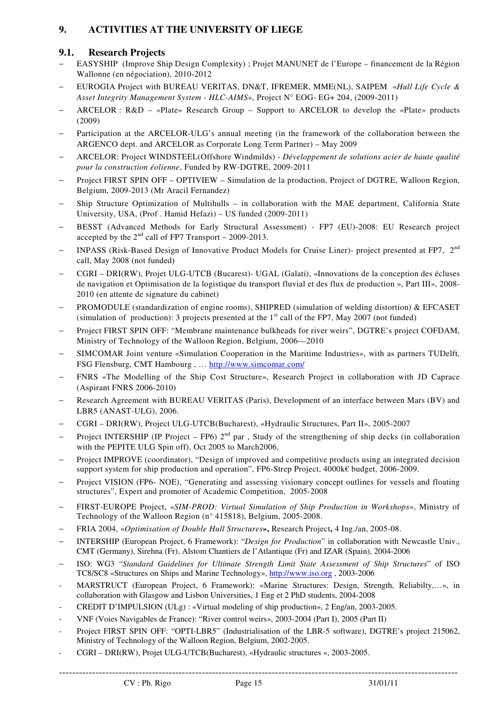# **9. ACTIVITIES AT THE UNIVERSITY OF LIEGE**

## **9.1. Research Projects**

- − EASYSHIP (Improve Ship Design Complexity) ; Projet MANUNET de l'Europe financement de la Région Wallonne (en négociation), 2010-2012
- − EUROGIA Project with BUREAU VERITAS, DN&T, IFREMER, MME(NL), SAIPEM «*Hull Life Cycle & Asset Integrity Management System - HLC-AIMS*», Project N° EOG- EG+ 204, (2009-2011)
- − ARCELOR : R&D «Plate» Research Group Support to ARCELOR to develop the «Plate» products (2009)
- Participation at the ARCELOR-ULG's annual meeting (in the framework of the collaboration between the ARGENCO dept. and ARCELOR as Corporate Long Term Partner) – May 2009
- − ARCELOR: Project WINDSTEEL(Offshore Windmilds) *Développement de solutions acier de haute qualité pour la construction éolienne*, Funded by RW-DGTRE, 2009-2011
- − Project FIRST SPIN OFF OPTIVIEW Simulation de la production, Project of DGTRE, Walloon Region, Belgium, 2009-2013 (Mr Aracil Fernandez)
- − Ship Structure Optimization of Multihulls in collaboration with the MAE department, California State University, USA, (Prof . Hamid Hefazi) – US funded (2009-2011)
- − BESST (Advanced Methods for Early Structural Assessment) FP7 (EU)-2008: EU Research project accepted by the  $2<sup>nd</sup>$  call of FP7 Transport – 2009-2013.
- INPASS (Risk-Based Design of Innovative Product Models for Cruise Liner)- project presented at FP7, 2<sup>nd</sup> call, May 2008 (not funded)
- − CGRI DRI(RW), Projet ULG-UTCB (Bucarest)- UGAL (Galati), «Innovations de la conception des écluses de navigation et Optimisation de la logistique du transport fluvial et des flux de production », Part III», 2008- 2010 (en attente de signature du cabinet)
- PROMODULE (standardization of engine rooms), SHIPRED (simulation of welding distortion) & EFCASET (simulation of production): 3 projects presented at the  $1<sup>st</sup>$  call of the FP7, May 2007 (not funded)
- Project FIRST SPIN OFF: "Membrane maintenance bulkheads for river weirs", DGTRE's project COFDAM, Ministry of Technology of the Walloon Region, Belgium, 2006—2010
- SIMCOMAR Joint venture «Simulation Cooperation in the Maritime Industries», with as partners TUDelft, FSG Flensburg, CMT Hambourg , … http://www.simcomar.com/
- − FNRS «The Modelling of the Ship Cost Structure», Research Project in collaboration with JD Caprace (Aspirant FNRS 2006-2010)
- Research Agreement with BUREAU VERITAS (Paris), Development of an interface between Mars (BV) and LBR5 (ANAST-ULG), 2006.
- − CGRI DRI(RW), Project ULG-UTCB(Bucharest), «Hydraulic Structures, Part II», 2005-2007
- Project INTERSHIP (IP Project FP6)  $2<sup>nd</sup>$  par, Study of the strengthening of ship decks (in collaboration with the PEPITE ULG Spin off), Oct 2005 to March2006,
- Project IMPROVE (coordinator), "Design of improved and competitive products using an integrated decision support system for ship production and operation", FP6-Strep Project, 4000k€ budget, 2006-2009.
- Project VISION (FP6- NOE), "Generating and assessing visionary concept outlines for vessels and floating structures", Expert and promoter of Academic Competition, 2005-2008
- − FIRST-EUROPE Project, «*SIM-PROD: Virtual Simulation of Ship Production in Workshops*», Ministry of Technology of the Walloon Region (n° 415818), Belgium, 2005-2008.
- − FRIA 2004, «*Optimisation of Double Hull Structures***»,** Research Project**,** 4 Ing./an, 2005-08.
- − INTERSHIP (European Project, 6 Framework): "*Design for Production*" in collaboration with Newcastle Univ., CMT (Germany), Sirehna (Fr), Alstom Chantiers de l'Atlantique (Fr) and IZAR (Spain), 2004-2006
- − ISO: WG3 "*Standard Guidelines for Ultimate Strength Limit State Assessment of Ship Structures*" of ISO TC8/SC8 «Structures on Ships and Marine Technology», http://www.iso.org , 2003-2006
- MARSTRUCT (European Project, 6 Framework): «Marine Structures: Design, Strength, Reliabilty,…», in collaboration with Glasgow and Lisbon Universities, 1 Eng et 2 PhD students, 2004-2008
- CREDIT D'IMPULSION (ULg) : «Virtual modeling of ship production», 2 Eng/an, 2003-2005.
- VNF (Voies Navigables de France): "River control weirs», 2003-2004 (Part I), 2005 (Part II)
- Project FIRST SPIN OFF: "OPTI-LBR5" (Industrialisation of the LBR-5 software), DGTRE's project 215062, Ministry of Technology of the Walloon Region, Belgium, 2002-2005.
- CGRI DRI(RW), Projet ULG-UTCB(Bucharest), «Hydraulic structures », 2003-2005.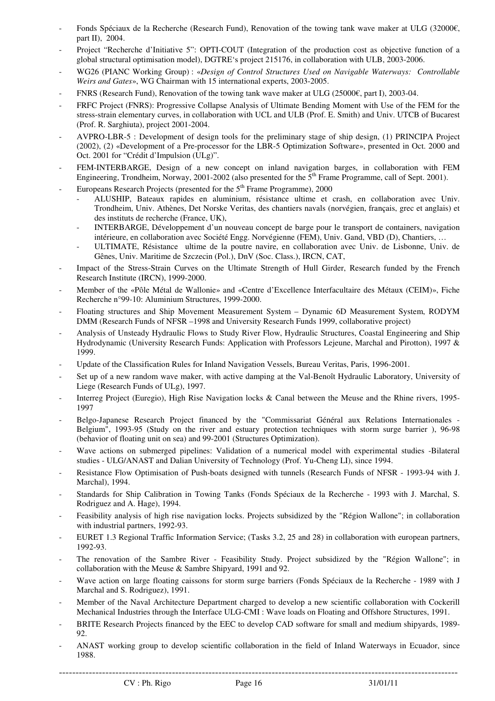- Fonds Spéciaux de la Recherche (Research Fund), Renovation of the towing tank wave maker at ULG (32000€, part II), 2004.
- Project "Recherche d'Initiative 5": OPTI-COUT (Integration of the production cost as objective function of a global structural optimisation model), DGTRE's project 215176, in collaboration with ULB, 2003-2006.
- WG26 (PIANC Working Group) : «*Design of Control Structures Used on Navigable Waterways: Controllable Weirs and Gates*», WG Chairman with 15 international experts, 2003-2005.
- FNRS (Research Fund), Renovation of the towing tank wave maker at ULG (25000€, part I), 2003-04.
- FRFC Project (FNRS): Progressive Collapse Analysis of Ultimate Bending Moment with Use of the FEM for the stress-strain elementary curves, in collaboration with UCL and ULB (Prof. E. Smith) and Univ. UTCB of Bucarest (Prof. R. Sarghiuta), project 2001-2004.
- AVPRO-LBR-5 : Development of design tools for the preliminary stage of ship design, (1) PRINCIPA Project (2002), (2) «Development of a Pre-processor for the LBR-5 Optimization Software», presented in Oct. 2000 and Oct. 2001 for "Crédit d'Impulsion (ULg)".
- FEM-INTERBARGE, Design of a new concept on inland navigation barges, in collaboration with FEM Engineering, Trondheim, Norway, 2001-2002 (also presented for the  $5<sup>th</sup>$  Frame Programme, call of Sept. 2001).
- Europeans Research Projects (presented for the  $5<sup>th</sup>$  Frame Programme), 2000
	- ALUSHIP, Bateaux rapides en aluminium, résistance ultime et crash, en collaboration avec Univ. Trondheim, Univ. Athènes, Det Norske Veritas, des chantiers navals (norvégien, français, grec et anglais) et des instituts de recherche (France, UK),
	- INTERBARGE, Développement d'un nouveau concept de barge pour le transport de containers, navigation intérieure, en collaboration avec Société Engg. Norvégienne (FEM), Univ. Gand, VBD (D), Chantiers, …
	- ULTIMATE, Résistance ultime de la poutre navire, en collaboration avec Univ. de Lisbonne, Univ. de Gênes, Univ. Maritime de Szczecin (Pol.), DnV (Soc. Class.), IRCN, CAT,
- Impact of the Stress-Strain Curves on the Ultimate Strength of Hull Girder, Research funded by the French Research Institute (IRCN), 1999-2000.
- Member of the «Pôle Métal de Wallonie» and «Centre d'Excellence Interfacultaire des Métaux (CEIM)», Fiche Recherche n°99-10: Aluminium Structures, 1999-2000.
- Floating structures and Ship Movement Measurement System Dynamic 6D Measurement System, RODYM DMM (Research Funds of NFSR –1998 and University Research Funds 1999, collaborative project)
- Analysis of Unsteady Hydraulic Flows to Study River Flow, Hydraulic Structures, Coastal Engineering and Ship Hydrodynamic (University Research Funds: Application with Professors Lejeune, Marchal and Pirotton), 1997 & 1999.
- Update of the Classification Rules for Inland Navigation Vessels, Bureau Veritas, Paris, 1996-2001.
- Set up of a new random wave maker, with active damping at the Val-Benoît Hydraulic Laboratory, University of Liege (Research Funds of ULg), 1997.
- Interreg Project (Euregio), High Rise Navigation locks & Canal between the Meuse and the Rhine rivers, 1995-1997
- Belgo-Japanese Research Project financed by the "Commissariat Général aux Relations Internationales Belgium", 1993-95 (Study on the river and estuary protection techniques with storm surge barrier ), 96-98 (behavior of floating unit on sea) and 99-2001 (Structures Optimization).
- Wave actions on submerged pipelines: Validation of a numerical model with experimental studies -Bilateral studies - ULG/ANAST and Dalian University of Technology (Prof. Yu-Cheng LI), since 1994.
- Resistance Flow Optimisation of Push-boats designed with tunnels (Research Funds of NFSR 1993-94 with J. Marchal), 1994.
- Standards for Ship Calibration in Towing Tanks (Fonds Spéciaux de la Recherche 1993 with J. Marchal, S. Rodriguez and A. Hage), 1994.
- Feasibility analysis of high rise navigation locks. Projects subsidized by the "Région Wallone"; in collaboration with industrial partners, 1992-93.
- EURET 1.3 Regional Traffic Information Service; (Tasks 3.2, 25 and 28) in collaboration with european partners, 1992-93.
- The renovation of the Sambre River Feasibility Study. Project subsidized by the "Région Wallone"; in collaboration with the Meuse & Sambre Shipyard, 1991 and 92.
- Wave action on large floating caissons for storm surge barriers (Fonds Spéciaux de la Recherche 1989 with J Marchal and S. Rodriguez), 1991.
- Member of the Naval Architecture Department charged to develop a new scientific collaboration with Cockerill Mechanical Industries through the Interface ULG-CMI : Wave loads on Floating and Offshore Structures, 1991.
- BRITE Research Projects financed by the EEC to develop CAD software for small and medium shipyards, 1989- 92.
- ANAST working group to develop scientific collaboration in the field of Inland Waterways in Ecuador, since 1988.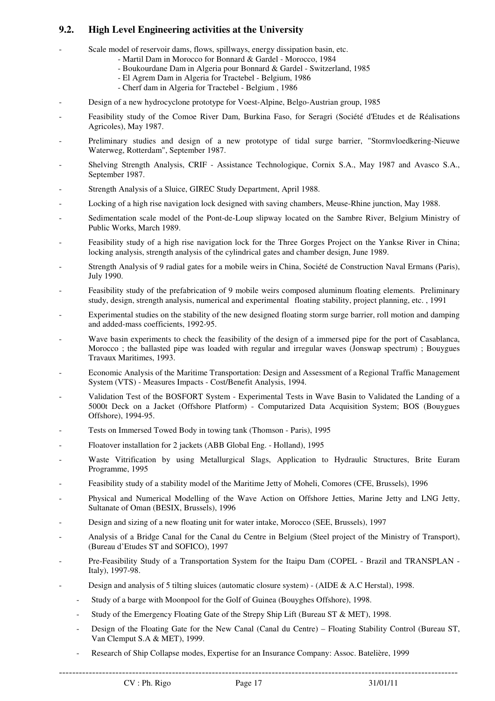## **9.2. High Level Engineering activities at the University**

- Scale model of reservoir dams, flows, spillways, energy dissipation basin, etc.
	- Martil Dam in Morocco for Bonnard & Gardel Morocco, 1984
	- Boukourdane Dam in Algeria pour Bonnard & Gardel Switzerland, 1985
		- El Agrem Dam in Algeria for Tractebel Belgium, 1986
		- Cherf dam in Algeria for Tractebel Belgium , 1986
- Design of a new hydrocyclone prototype for Voest-Alpine, Belgo-Austrian group, 1985
- Feasibility study of the Comoe River Dam, Burkina Faso, for Seragri (Société d'Etudes et de Réalisations Agricoles), May 1987.
- Preliminary studies and design of a new prototype of tidal surge barrier, "Stormvloedkering-Nieuwe Waterweg, Rotterdam", September 1987.
- Shelving Strength Analysis, CRIF Assistance Technologique, Cornix S.A., May 1987 and Avasco S.A., September 1987.
- Strength Analysis of a Sluice, GIREC Study Department, April 1988.
- Locking of a high rise navigation lock designed with saving chambers, Meuse-Rhine junction, May 1988.
- Sedimentation scale model of the Pont-de-Loup slipway located on the Sambre River, Belgium Ministry of Public Works, March 1989.
- Feasibility study of a high rise navigation lock for the Three Gorges Project on the Yankse River in China; locking analysis, strength analysis of the cylindrical gates and chamber design, June 1989.
- Strength Analysis of 9 radial gates for a mobile weirs in China, Société de Construction Naval Ermans (Paris), July 1990.
- Feasibility study of the prefabrication of 9 mobile weirs composed aluminum floating elements. Preliminary study, design, strength analysis, numerical and experimental floating stability, project planning, etc. , 1991
- Experimental studies on the stability of the new designed floating storm surge barrier, roll motion and damping and added-mass coefficients, 1992-95.
- Wave basin experiments to check the feasibility of the design of a immersed pipe for the port of Casablanca, Morocco ; the ballasted pipe was loaded with regular and irregular waves (Jonswap spectrum) ; Bouygues Travaux Maritimes, 1993.
- Economic Analysis of the Maritime Transportation: Design and Assessment of a Regional Traffic Management System (VTS) - Measures Impacts - Cost/Benefit Analysis, 1994.
- Validation Test of the BOSFORT System Experimental Tests in Wave Basin to Validated the Landing of a 5000t Deck on a Jacket (Offshore Platform) - Computarized Data Acquisition System; BOS (Bouygues Offshore), 1994-95.
- Tests on Immersed Towed Body in towing tank (Thomson Paris), 1995
- Floatover installation for 2 jackets (ABB Global Eng. Holland), 1995
- Waste Vitrification by using Metallurgical Slags, Application to Hydraulic Structures, Brite Euram Programme, 1995
- Feasibility study of a stability model of the Maritime Jetty of Moheli, Comores (CFE, Brussels), 1996
- Physical and Numerical Modelling of the Wave Action on Offshore Jetties, Marine Jetty and LNG Jetty, Sultanate of Oman (BESIX, Brussels), 1996
- Design and sizing of a new floating unit for water intake, Morocco (SEE, Brussels), 1997
- Analysis of a Bridge Canal for the Canal du Centre in Belgium (Steel project of the Ministry of Transport), (Bureau d'Etudes ST and SOFICO), 1997
- Pre-Feasibility Study of a Transportation System for the Itaipu Dam (COPEL Brazil and TRANSPLAN Italy), 1997-98.
- Design and analysis of 5 tilting sluices (automatic closure system) (AIDE & A.C Herstal), 1998.
	- Study of a barge with Moonpool for the Golf of Guinea (Bouyghes Offshore), 1998.
	- Study of the Emergency Floating Gate of the Strepy Ship Lift (Bureau ST & MET), 1998.
	- Design of the Floating Gate for the New Canal (Canal du Centre) Floating Stability Control (Bureau ST, Van Clemput S.A & MET), 1999.
	- Research of Ship Collapse modes, Expertise for an Insurance Company: Assoc. Batelière, 1999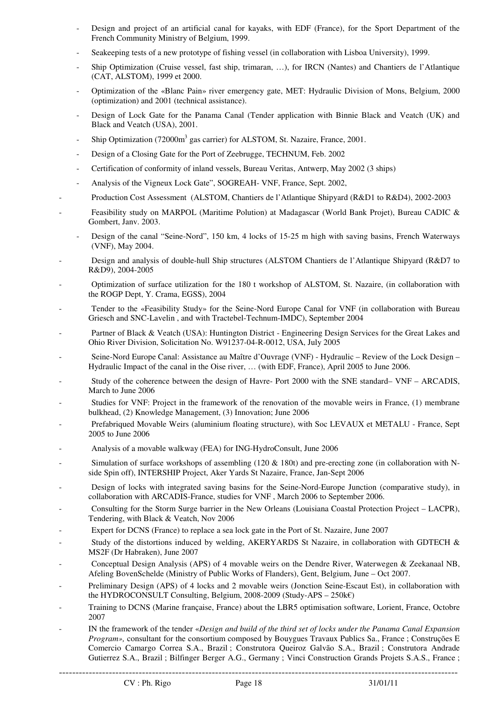- Design and project of an artificial canal for kayaks, with EDF (France), for the Sport Department of the French Community Ministry of Belgium, 1999.
- Seakeeping tests of a new prototype of fishing vessel (in collaboration with Lisboa University), 1999.
- Ship Optimization (Cruise vessel, fast ship, trimaran, …), for IRCN (Nantes) and Chantiers de l'Atlantique (CAT, ALSTOM), 1999 et 2000.
- Optimization of the «Blanc Pain» river emergency gate, MET: Hydraulic Division of Mons, Belgium, 2000 (optimization) and 2001 (technical assistance).
- Design of Lock Gate for the Panama Canal (Tender application with Binnie Black and Veatch (UK) and Black and Veatch (USA), 2001.
- Ship Optimization (72000m<sup>3</sup> gas carrier) for ALSTOM, St. Nazaire, France, 2001.
- Design of a Closing Gate for the Port of Zeebrugge, TECHNUM, Feb. 2002
- Certification of conformity of inland vessels, Bureau Veritas, Antwerp, May 2002 (3 ships)
- Analysis of the Vigneux Lock Gate", SOGREAH- VNF, France, Sept. 2002,
- Production Cost Assessment (ALSTOM, Chantiers de l'Atlantique Shipyard (R&D1 to R&D4), 2002-2003
- Feasibility study on MARPOL (Maritime Polution) at Madagascar (World Bank Projet), Bureau CADIC & Gombert, Janv. 2003.
	- Design of the canal "Seine-Nord", 150 km, 4 locks of 15-25 m high with saving basins, French Waterways (VNF), May 2004.
- Design and analysis of double-hull Ship structures (ALSTOM Chantiers de l'Atlantique Shipyard (R&D7 to R&D9), 2004-2005
- Optimization of surface utilization for the 180 t workshop of ALSTOM, St. Nazaire, (in collaboration with the ROGP Dept, Y. Crama, EGSS), 2004
- Tender to the «Feasibility Study» for the Seine-Nord Europe Canal for VNF (in collaboration with Bureau Griesch and SNC-Lavelin , and with Tractebel-Technum-IMDC), September 2004
- Partner of Black & Veatch (USA): Huntington District Engineering Design Services for the Great Lakes and Ohio River Division, Solicitation No. W91237-04-R-0012, USA, July 2005
- Seine-Nord Europe Canal: Assistance au Maître d'Ouvrage (VNF) Hydraulic Review of the Lock Design Hydraulic Impact of the canal in the Oise river, … (with EDF, France), April 2005 to June 2006.
- Study of the coherence between the design of Havre- Port 2000 with the SNE standard– VNF ARCADIS, March to June 2006
- Studies for VNF: Project in the framework of the renovation of the movable weirs in France, (1) membrane bulkhead, (2) Knowledge Management, (3) Innovation; June 2006
- Prefabriqued Movable Weirs (aluminium floating structure), with Soc LEVAUX et METALU France, Sept 2005 to June 2006
- Analysis of a movable walkway (FEA) for ING-HydroConsult, June 2006
- Simulation of surface workshops of assembling (120  $&$  180t) and pre-erecting zone (in collaboration with Nside Spin off), INTERSHIP Project, Aker Yards St Nazaire, France, Jan-Sept 2006
- Design of locks with integrated saving basins for the Seine-Nord-Europe Junction (comparative study), in collaboration with ARCADIS-France, studies for VNF , March 2006 to September 2006.
- Consulting for the Storm Surge barrier in the New Orleans (Louisiana Coastal Protection Project LACPR), Tendering, with Black & Veatch, Nov 2006
- Expert for DCNS (France) to replace a sea lock gate in the Port of St. Nazaire, June 2007
- Study of the distortions induced by welding, AKERYARDS St Nazaire, in collaboration with GDTECH & MS2F (Dr Habraken), June 2007
- Conceptual Design Analysis (APS) of 4 movable weirs on the Dendre River, Waterwegen & Zeekanaal NB, Afeling BovenSchelde (Ministry of Public Works of Flanders), Gent, Belgium, June – Oct 2007.
- Preliminary Design (APS) of 4 locks and 2 movable weirs (Jonction Seine-Escaut Est), in collaboration with the HYDROCONSULT Consulting, Belgium, 2008-2009 (Study-APS –  $250k\epsilon$ )
- Training to DCNS (Marine française, France) about the LBR5 optimisation software, Lorient, France, Octobre 2007
- IN the framework of the tender «*Design and build of the third set of locks under the Panama Canal Expansion Program»,* consultant for the consortium composed by Bouygues Travaux Publics Sa., France ; Construções E Comercio Camargo Correa S.A., Brazil ; Construtora Queiroz Galvão S.A., Brazil ; Construtora Andrade Gutierrez S.A., Brazil ; Bilfinger Berger A.G., Germany ; Vinci Construction Grands Projets S.A.S., France ;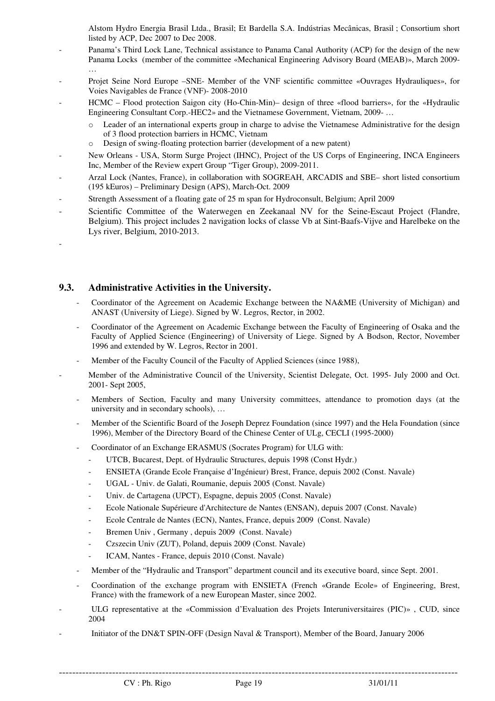Alstom Hydro Energia Brasil Ltda., Brasil; Et Bardella S.A. Indústrias Mecânicas, Brasil ; Consortium short listed by ACP, Dec 2007 to Dec 2008.

- Panama's Third Lock Lane, Technical assistance to Panama Canal Authority (ACP) for the design of the new Panama Locks (member of the committee «Mechanical Engineering Advisory Board (MEAB)», March 2009- …
- Projet Seine Nord Europe –SNE- Member of the VNF scientific committee «Ouvrages Hydrauliques», for Voies Navigables de France (VNF)- 2008-2010
- HCMC Flood protection Saigon city (Ho-Chin-Min)– design of three «flood barriers», for the «Hydraulic Engineering Consultant Corp.-HEC2» and the Vietnamese Government, Vietnam, 2009- …
	- o Leader of an international experts group in charge to advise the Vietnamese Administrative for the design of 3 flood protection barriers in HCMC, Vietnam
	- o Design of swing-floating protection barrier (development of a new patent)
- New Orleans USA, Storm Surge Project (IHNC), Project of the US Corps of Engineering, INCA Engineers Inc, Member of the Review expert Group "Tiger Group), 2009-2011.
- Arzal Lock (Nantes, France), in collaboration with SOGREAH, ARCADIS and SBE– short listed consortium (195 kEuros) – Preliminary Design (APS), March-Oct. 2009
- Strength Assessment of a floating gate of 25 m span for Hydroconsult, Belgium; April 2009
- Scientific Committee of the Waterwegen en Zeekanaal NV for the Seine-Escaut Project (Flandre, Belgium). This project includes 2 navigation locks of classe Vb at Sint-Baafs-Vijve and Harelbeke on the Lys river, Belgium, 2010-2013.

### **9.3. Administrative Activities in the University.**

-

- Coordinator of the Agreement on Academic Exchange between the NA&ME (University of Michigan) and ANAST (University of Liege). Signed by W. Legros, Rector, in 2002.
- Coordinator of the Agreement on Academic Exchange between the Faculty of Engineering of Osaka and the Faculty of Applied Science (Engineering) of University of Liege. Signed by A Bodson, Rector, November 1996 and extended by W. Legros, Rector in 2001.
- Member of the Faculty Council of the Faculty of Applied Sciences (since 1988),
- Member of the Administrative Council of the University, Scientist Delegate, Oct. 1995- July 2000 and Oct. 2001- Sept 2005,
	- Members of Section, Faculty and many University committees, attendance to promotion days (at the university and in secondary schools), …
	- Member of the Scientific Board of the Joseph Deprez Foundation (since 1997) and the Hela Foundation (since 1996), Member of the Directory Board of the Chinese Center of ULg, CECLI (1995-2000)
	- Coordinator of an Exchange ERASMUS (Socrates Program) for ULG with:
		- UTCB, Bucarest, Dept. of Hydraulic Structures, depuis 1998 (Const Hydr.)
		- ENSIETA (Grande Ecole Française d'Ingénieur) Brest, France, depuis 2002 (Const. Navale)
		- UGAL Univ. de Galati, Roumanie, depuis 2005 (Const. Navale)
		- Univ. de Cartagena (UPCT), Espagne, depuis 2005 (Const. Navale)
		- Ecole Nationale Supérieure d'Architecture de Nantes (ENSAN), depuis 2007 (Const. Navale)
		- Ecole Centrale de Nantes (ECN), Nantes, France, depuis 2009 (Const. Navale)
		- Bremen Univ, Germany, depuis 2009 (Const. Navale)
		- Czszecin Univ (ZUT), Poland, depuis 2009 (Const. Navale)
		- ICAM, Nantes France, depuis 2010 (Const. Navale)
	- Member of the "Hydraulic and Transport" department council and its executive board, since Sept. 2001.
	- Coordination of the exchange program with ENSIETA (French «Grande Ecole» of Engineering, Brest, France) with the framework of a new European Master, since 2002.
- ULG representative at the «Commission d'Evaluation des Projets Interuniversitaires (PIC)» , CUD, since 2004
- Initiator of the DN&T SPIN-OFF (Design Naval & Transport), Member of the Board, January 2006